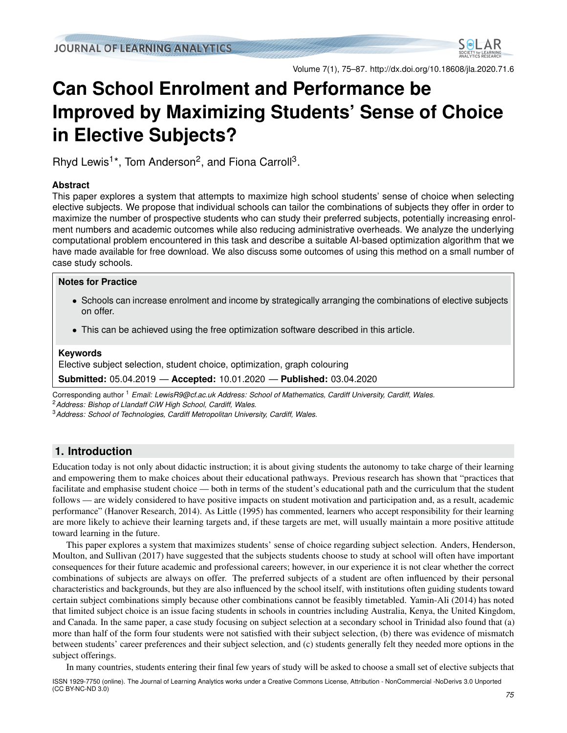

Volume 7(1), 75–87. <http://dx.doi.org/10.18608/jla.2020.71.6>

# <span id="page-0-0"></span>**Can School Enrolment and Performance be Improved by Maximizing Students' Sense of Choice in Elective Subjects?**

Rhyd Lewis<sup>1\*</sup>, Tom Anderson<sup>2</sup>, and Fiona Carroll<sup>3</sup>.

#### **Abstract**

This paper explores a system that attempts to maximize high school students' sense of choice when selecting elective subjects. We propose that individual schools can tailor the combinations of subjects they offer in order to maximize the number of prospective students who can study their preferred subjects, potentially increasing enrolment numbers and academic outcomes while also reducing administrative overheads. We analyze the underlying computational problem encountered in this task and describe a suitable AI-based optimization algorithm that we have made available for free download. We also discuss some outcomes of using this method on a small number of case study schools.

#### **Notes for Practice**

- Schools can increase enrolment and income by strategically arranging the combinations of elective subjects on offer.
- This can be achieved using the free optimization software described in this article.

#### **Keywords**

Elective subject selection, student choice, optimization, graph colouring

**Submitted:** 05.04.2019 — **Accepted:** 10.01.2020 — **Published:** 03.04.2020

Corresponding author <sup>1</sup> *Email: LewisR9@cf.ac.uk Address: School of Mathematics, Cardiff University, Cardiff, Wales.* <sup>2</sup>*Address: Bishop of Llandaff CiW High School, Cardiff, Wales.*

<sup>3</sup>*Address: School of Technologies, Cardiff Metropolitan University, Cardiff, Wales.*

# <span id="page-0-1"></span>**1. Introduction**

Education today is not only about didactic instruction; it is about giving students the autonomy to take charge of their learning and empowering them to make choices about their educational pathways. Previous research has shown that "practices that facilitate and emphasise student choice — both in terms of the student's educational path and the curriculum that the student follows — are widely considered to have positive impacts on student motivation and participation and, as a result, academic performance" [\(Hanover Research,](#page-12-0) [2014\)](#page-12-0). As [Little](#page-12-1) [\(1995\)](#page-12-1) has commented, learners who accept responsibility for their learning are more likely to achieve their learning targets and, if these targets are met, will usually maintain a more positive attitude toward learning in the future.

This paper explores a system that maximizes students' sense of choice regarding subject selection. [Anders, Henderson,](#page-12-2) [Moulton, and Sullivan](#page-12-2) [\(2017\)](#page-12-2) have suggested that the subjects students choose to study at school will often have important consequences for their future academic and professional careers; however, in our experience it is not clear whether the correct combinations of subjects are always on offer. The preferred subjects of a student are often influenced by their personal characteristics and backgrounds, but they are also influenced by the school itself, with institutions often guiding students toward certain subject combinations simply because other combinations cannot be feasibly timetabled. [Yamin-Ali](#page-12-3) [\(2014\)](#page-12-3) has noted that limited subject choice is an issue facing students in schools in countries including Australia, Kenya, the United Kingdom, and Canada. In the same paper, a case study focusing on subject selection at a secondary school in Trinidad also found that (a) more than half of the form four students were not satisfied with their subject selection, (b) there was evidence of mismatch between students' career preferences and their subject selection, and (c) students generally felt they needed more options in the subject offerings.

In many countries, students entering their final few years of study will be asked to choose a small set of elective subjects that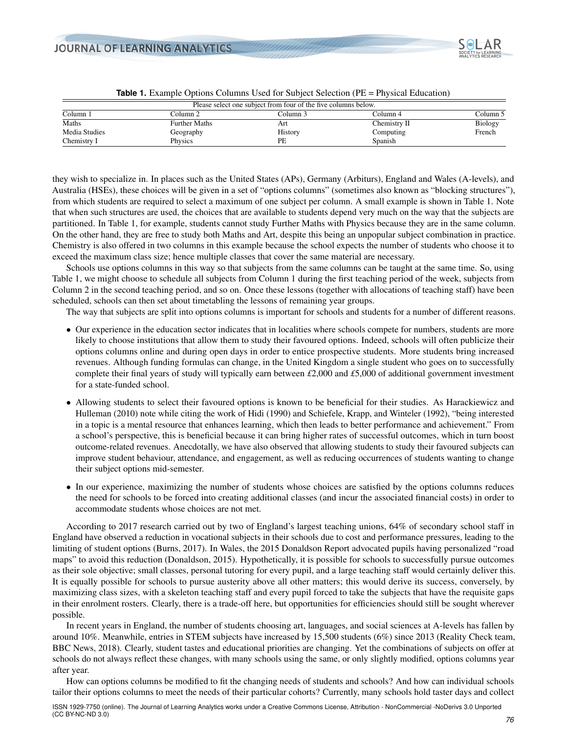

<span id="page-1-0"></span>

|               |                      | Please select one subject from four of the five columns below. |              |                |
|---------------|----------------------|----------------------------------------------------------------|--------------|----------------|
| Column 1      | Column 2.            | Column 3                                                       | Column 4     | Column 5       |
| Maths         | <b>Further Maths</b> | Art                                                            | Chemistry II | <b>Biology</b> |
| Media Studies | Geography            | History                                                        | Computing    | French         |
| Chemistry I   | Physics              | PЕ                                                             | Spanish      |                |

|  | <b>Table 1.</b> Example Options Columns Used for Subject Selection (PE = Physical Education) |  |  |  |  |
|--|----------------------------------------------------------------------------------------------|--|--|--|--|
|--|----------------------------------------------------------------------------------------------|--|--|--|--|

they wish to specialize in. In places such as the United States (APs), Germany (Arbiturs), England and Wales (A-levels), and Australia (HSEs), these choices will be given in a set of "options columns" (sometimes also known as "blocking structures"), from which students are required to select a maximum of one subject per column. A small example is shown in Table [1.](#page-1-0) Note that when such structures are used, the choices that are available to students depend very much on the way that the subjects are partitioned. In Table [1,](#page-1-0) for example, students cannot study Further Maths with Physics because they are in the same column. On the other hand, they are free to study both Maths and Art, despite this being an unpopular subject combination in practice. Chemistry is also offered in two columns in this example because the school expects the number of students who choose it to exceed the maximum class size; hence multiple classes that cover the same material are necessary.

Schools use options columns in this way so that subjects from the same columns can be taught at the same time. So, using Table [1,](#page-1-0) we might choose to schedule all subjects from Column 1 during the first teaching period of the week, subjects from Column 2 in the second teaching period, and so on. Once these lessons (together with allocations of teaching staff) have been scheduled, schools can then set about timetabling the lessons of remaining year groups.

The way that subjects are split into options columns is important for schools and students for a number of different reasons.

- Our experience in the education sector indicates that in localities where schools compete for numbers, students are more likely to choose institutions that allow them to study their favoured options. Indeed, schools will often publicize their options columns online and during open days in order to entice prospective students. More students bring increased revenues. Although funding formulas can change, in the United Kingdom a single student who goes on to successfully complete their final years of study will typically earn between *£*2,000 and *£*5,000 of additional government investment for a state-funded school.
- Allowing students to select their favoured options is known to be beneficial for their studies. As [Harackiewicz and](#page-12-4) [Hulleman](#page-12-4) [\(2010\)](#page-12-4) note while citing the work of [Hidi](#page-12-5) [\(1990\)](#page-12-5) and [Schiefele, Krapp, and Winteler](#page-12-6) [\(1992\)](#page-12-6), "being interested in a topic is a mental resource that enhances learning, which then leads to better performance and achievement." From a school's perspective, this is beneficial because it can bring higher rates of successful outcomes, which in turn boost outcome-related revenues. Anecdotally, we have also observed that allowing students to study their favoured subjects can improve student behaviour, attendance, and engagement, as well as reducing occurrences of students wanting to change their subject options mid-semester.
- In our experience, maximizing the number of students whose choices are satisfied by the options columns reduces the need for schools to be forced into creating additional classes (and incur the associated financial costs) in order to accommodate students whose choices are not met.

According to 2017 research carried out by two of England's largest teaching unions, 64% of secondary school staff in England have observed a reduction in vocational subjects in their schools due to cost and performance pressures, leading to the limiting of student options [\(Burns,](#page-12-7) [2017\)](#page-12-7). In Wales, the 2015 Donaldson Report advocated pupils having personalized "road maps" to avoid this reduction [\(Donaldson,](#page-12-8) [2015\)](#page-12-8). Hypothetically, it is possible for schools to successfully pursue outcomes as their sole objective; small classes, personal tutoring for every pupil, and a large teaching staff would certainly deliver this. It is equally possible for schools to pursue austerity above all other matters; this would derive its success, conversely, by maximizing class sizes, with a skeleton teaching staff and every pupil forced to take the subjects that have the requisite gaps in their enrolment rosters. Clearly, there is a trade-off here, but opportunities for efficiencies should still be sought wherever possible.

In recent years in England, the number of students choosing art, languages, and social sciences at A-levels has fallen by around 10%. Meanwhile, entries in STEM subjects have increased by 15,500 students (6%) since 2013 [\(Reality Check team,](#page-12-9) [BBC News,](#page-12-9) [2018\)](#page-12-9). Clearly, student tastes and educational priorities are changing. Yet the combinations of subjects on offer at schools do not always reflect these changes, with many schools using the same, or only slightly modified, options columns year after year.

How can options columns be modified to fit the changing needs of students and schools? And how can individual schools tailor their options columns to meet the needs of their particular cohorts? Currently, many schools hold taster days and collect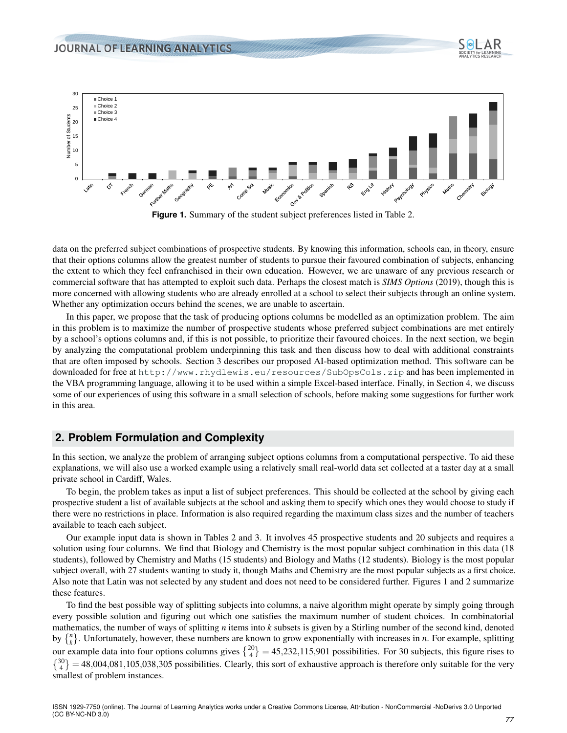<span id="page-2-0"></span>

**Figure 1.** Summary of the student subject preferences listed in Table [2.](#page-3-0)

data on the preferred subject combinations of prospective students. By knowing this information, schools can, in theory, ensure that their options columns allow the greatest number of students to pursue their favoured combination of subjects, enhancing the extent to which they feel enfranchised in their own education. However, we are unaware of any previous research or commercial software that has attempted to exploit such data. Perhaps the closest match is *[SIMS Options](#page-12-10)* [\(2019\)](#page-12-10), though this is more concerned with allowing students who are already enrolled at a school to select their subjects through an online system. Whether any optimization occurs behind the scenes, we are unable to ascertain.

In this paper, we propose that the task of producing options columns be modelled as an optimization problem. The aim in this problem is to maximize the number of prospective students whose preferred subject combinations are met entirely by a school's options columns and, if this is not possible, to prioritize their favoured choices. In the next section, we begin by analyzing the computational problem underpinning this task and then discuss how to deal with additional constraints that are often imposed by schools. Section [3](#page-6-0) describes our proposed AI-based optimization method. This software can be downloaded for free at <http://www.rhydlewis.eu/resources/SubOpsCols.zip> and has been implemented in the VBA programming language, allowing it to be used within a simple Excel-based interface. Finally, in Section [4,](#page-9-0) we discuss some of our experiences of using this software in a small selection of schools, before making some suggestions for further work in this area.

## **2. Problem Formulation and Complexity**

In this section, we analyze the problem of arranging subject options columns from a computational perspective. To aid these explanations, we will also use a worked example using a relatively small real-world data set collected at a taster day at a small private school in Cardiff, Wales.

To begin, the problem takes as input a list of subject preferences. This should be collected at the school by giving each prospective student a list of available subjects at the school and asking them to specify which ones they would choose to study if there were no restrictions in place. Information is also required regarding the maximum class sizes and the number of teachers available to teach each subject.

Our example input data is shown in Tables [2](#page-3-0) and [3.](#page-3-1) It involves 45 prospective students and 20 subjects and requires a solution using four columns. We find that Biology and Chemistry is the most popular subject combination in this data (18 students), followed by Chemistry and Maths (15 students) and Biology and Maths (12 students). Biology is the most popular subject overall, with 27 students wanting to study it, though Maths and Chemistry are the most popular subjects as a first choice. Also note that Latin was not selected by any student and does not need to be considered further. Figures [1](#page-2-0) and [2](#page-4-0) summarize these features.

<span id="page-2-1"></span>To find the best possible way of splitting subjects into columns, a naive algorithm might operate by simply going through every possible solution and figuring out which one satisfies the maximum number of student choices. In combinatorial mathematics, the number of ways of splitting *n* items into *k* subsets is given by a Stirling number of the second kind, denoted by  $\{n\}$ . Unfortunately, however, these numbers are known to grow exponentially with increases in *n*. For example, splitting our example data into four options columns gives  $\binom{20}{4} = 45,232,115,901$  possibilities. For 30 subjects, this figure rises to  $\{^{30}_{4}\}$  = 48,004,081,105,038,305 possibilities. Clearly, this sort of exhaustive approach is therefore only suitable for the very smallest of problem instances.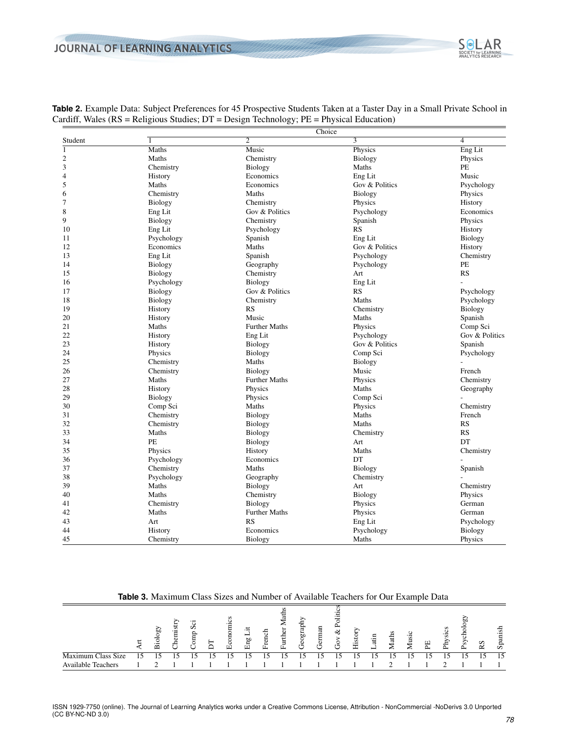|                |                |                      | Choice         |                |
|----------------|----------------|----------------------|----------------|----------------|
| Student        | $\mathbf{1}$   | $\overline{2}$       | $\overline{3}$ | $\overline{4}$ |
| $\overline{1}$ | <b>Maths</b>   | Music                | Physics        | Eng Lit        |
| $\overline{c}$ | Maths          | Chemistry            | Biology        | Physics        |
| 3              | Chemistry      | Biology              | Maths          | PE             |
| $\overline{4}$ | History        | Economics            | Eng Lit        | Music          |
| 5              | Maths          | Economics            | Gov & Politics | Psychology     |
| 6              | Chemistry      | Maths                | Biology        | Physics        |
| 7              | <b>Biology</b> | Chemistry            | Physics        | History        |
| 8              | Eng Lit        | Gov & Politics       | Psychology     | Economics      |
| 9              | <b>Biology</b> | Chemistry            | Spanish        | Physics        |
| 10             | Eng Lit        | Psychology           | <b>RS</b>      | History        |
| 11             | Psychology     | Spanish              | Eng Lit        | Biology        |
| 12             | Economics      | Maths                | Gov & Politics | History        |
| 13             | Eng Lit        | Spanish              | Psychology     | Chemistry      |
| 14             | <b>Biology</b> | Geography            | Psychology     | PE             |
| 15             | Biology        | Chemistry            | Art            | <b>RS</b>      |
| 16             | Psychology     | Biology              | Eng Lit        |                |
| 17             | Biology        | Gov & Politics       | <b>RS</b>      | Psychology     |
| 18             | Biology        | Chemistry            | Maths          | Psychology     |
| 19             | History        | <b>RS</b>            | Chemistry      | Biology        |
| 20             | History        | Music                | Maths          | Spanish        |
| 21             | Maths          | <b>Further Maths</b> | Physics        | Comp Sci       |
| 22             | History        | Eng Lit              | Psychology     | Gov & Politics |
| 23             | History        | <b>Biology</b>       | Gov & Politics | Spanish        |
| 24             | Physics        | Biology              | Comp Sci       | Psychology     |
| 25             | Chemistry      | Maths                | Biology        |                |
| 26             | Chemistry      | Biology              | Music          | French         |
| 27             | Maths          | <b>Further Maths</b> | Physics        | Chemistry      |
| 28             | History        | Physics              | Maths          | Geography      |
| 29             | <b>Biology</b> | Physics              | Comp Sci       |                |
| 30             | Comp Sci       | Maths                | Physics        | Chemistry      |
| 31             | Chemistry      | Biology              | Maths          | French         |
| 32             | Chemistry      | Biology              | Maths          | <b>RS</b>      |
| 33             | Maths          | Biology              | Chemistry      | <b>RS</b>      |
| 34             | PE             | Biology              | Art            | DT             |
| 35             | Physics        | History              | Maths          | Chemistry      |
| 36             | Psychology     | Economics            | DT             |                |
| 37             | Chemistry      | Maths                | Biology        | Spanish        |
| 38             | Psychology     | Geography            | Chemistry      |                |
| 39             | Maths          | <b>Biology</b>       | Art            | Chemistry      |
| 40             | Maths          | Chemistry            | Biology        | Physics        |
| 41             | Chemistry      | Biology              | Physics        | German         |
| 42             | Maths          | <b>Further Maths</b> | Physics        | German         |
| 43             | Art            | RS                   | Eng Lit        | Psychology     |
| 44             | History        | Economics            | Psychology     | Biology        |
| 45             | Chemistry      | <b>Biology</b>       | Maths          | Physics        |

<span id="page-3-0"></span>

|  |                                                                                                 |  |  | <b>Table 2.</b> Example Data: Subject Preferences for 45 Prospective Students Taken at a Taster Day in a Small Private School in |  |
|--|-------------------------------------------------------------------------------------------------|--|--|----------------------------------------------------------------------------------------------------------------------------------|--|
|  | Cardiff, Wales ( $RS$ = Religious Studies; $DT$ = Design Technology; $PE$ = Physical Education) |  |  |                                                                                                                                  |  |

**Table 3.** Maximum Class Sizes and Number of Available Teachers for Our Example Data

<span id="page-3-1"></span>

|                           | ЪÚ<br>运 | s<br>$\overline{\phantom{a}}$<br>ω<br>£, | $\sim$ $\sim$ |    | ٢T٦ | r۳٦ |    | rŦ |    |     | ∾<br>۳m | s.<br>₩ | ದ | Iatl | ల<br><b>fusi</b><br>∼ | 뛰 | £ | ьΩ<br>S | R <sub>S</sub> | 운<br>Spani |
|---------------------------|---------|------------------------------------------|---------------|----|-----|-----|----|----|----|-----|---------|---------|---|------|-----------------------|---|---|---------|----------------|------------|
| Maximum Class Size        |         |                                          | 15            | 15 |     |     | 15 | 5  | 15 | ۱۲, | ۱۲      | ۱۲      |   |      |                       |   |   |         |                | 15         |
| <b>Available Teachers</b> |         |                                          |               |    |     |     |    |    |    |     |         |         |   |      |                       |   |   |         |                |            |

SOLAR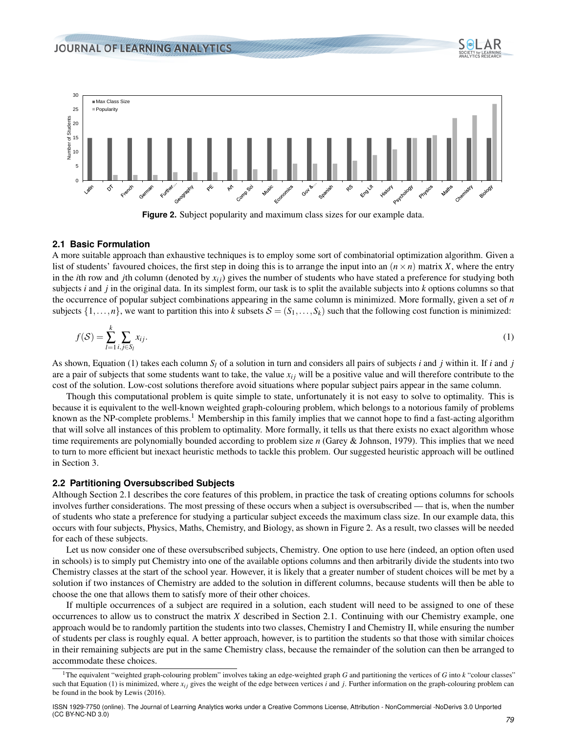<span id="page-4-0"></span>

<span id="page-4-1"></span>

#### **2.1 Basic Formulation**

A more suitable approach than exhaustive techniques is to employ some sort of combinatorial optimization algorithm. Given a list of students' favoured choices, the first step in doing this is to arrange the input into an  $(n \times n)$  matrix *X*, where the entry in the *i*th row and *j*th column (denoted by  $x_{ij}$ ) gives the number of students who have stated a preference for studying both subjects *i* and *j* in the original data. In its simplest form, our task is to split the available subjects into *k* options columns so that the occurrence of popular subject combinations appearing in the same column is minimized. More formally, given a set of *n* subjects  $\{1,\ldots,n\}$ , we want to partition this into *k* subsets  $\mathcal{S} = (S_1,\ldots,S_k)$  such that the following cost function is minimized:

$$
f(\mathcal{S}) = \sum_{l=1}^{k} \sum_{i,j \in S_l} x_{ij}.
$$
 (1)

As shown, Equation [\(1\)](#page-4-1) takes each column *S<sup>l</sup>* of a solution in turn and considers all pairs of subjects *i* and *j* within it. If *i* and *j* are a pair of subjects that some students want to take, the value  $x_i$  will be a positive value and will therefore contribute to the cost of the solution. Low-cost solutions therefore avoid situations where popular subject pairs appear in the same column.

Though this computational problem is quite simple to state, unfortunately it is not easy to solve to optimality. This is because it is equivalent to the well-known weighted graph-colouring problem, which belongs to a notorious family of problems known as the NP-complete problems.<sup>[1](#page-0-0)</sup> Membership in this family implies that we cannot hope to find a fast-acting algorithm that will solve all instances of this problem to optimality. More formally, it tells us that there exists no exact algorithm whose time requirements are polynomially bounded according to problem size *n* [\(Garey & Johnson,](#page-12-11) [1979\)](#page-12-11). This implies that we need to turn to more efficient but inexact heuristic methods to tackle this problem. Our suggested heuristic approach will be outlined in Section [3.](#page-6-0)

#### <span id="page-4-2"></span>**2.2 Partitioning Oversubscribed Subjects**

Although Section [2.1](#page-2-1) describes the core features of this problem, in practice the task of creating options columns for schools involves further considerations. The most pressing of these occurs when a subject is oversubscribed — that is, when the number of students who state a preference for studying a particular subject exceeds the maximum class size. In our example data, this occurs with four subjects, Physics, Maths, Chemistry, and Biology, as shown in Figure [2.](#page-4-0) As a result, two classes will be needed for each of these subjects.

Let us now consider one of these oversubscribed subjects, Chemistry. One option to use here (indeed, an option often used in schools) is to simply put Chemistry into one of the available options columns and then arbitrarily divide the students into two Chemistry classes at the start of the school year. However, it is likely that a greater number of student choices will be met by a solution if two instances of Chemistry are added to the solution in different columns, because students will then be able to choose the one that allows them to satisfy more of their other choices.

If multiple occurrences of a subject are required in a solution, each student will need to be assigned to one of these occurrences to allow us to construct the matrix *X* described in Section [2.1.](#page-2-1) Continuing with our Chemistry example, one approach would be to randomly partition the students into two classes, Chemistry I and Chemistry II, while ensuring the number of students per class is roughly equal. A better approach, however, is to partition the students so that those with similar choices in their remaining subjects are put in the same Chemistry class, because the remainder of the solution can then be arranged to accommodate these choices.

<sup>1</sup>The equivalent "weighted graph-colouring problem" involves taking an edge-weighted graph *G* and partitioning the vertices of *G* into *k* "colour classes" such that Equation [\(1\)](#page-4-1) is minimized, where  $x_i$  gives the weight of the edge between vertices  $i$  and  $j$ . Further information on the graph-colouring problem can be found in the book by [Lewis](#page-12-12) [\(2016\)](#page-12-12).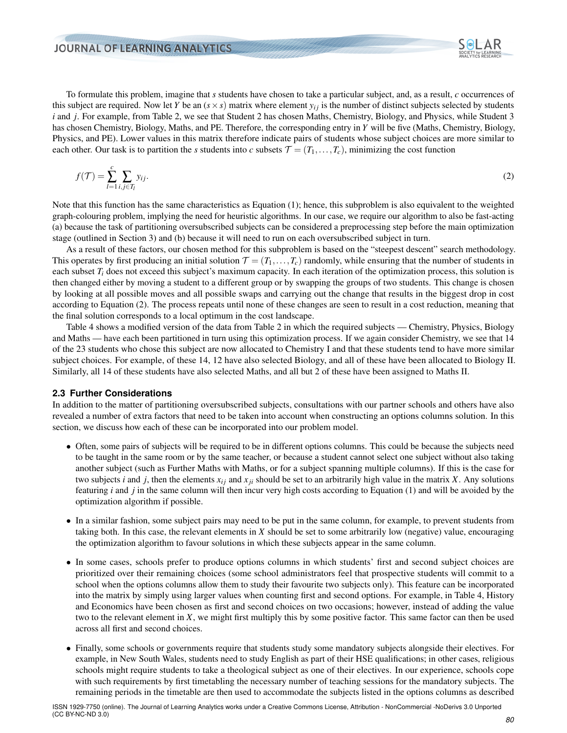<span id="page-5-0"></span>

To formulate this problem, imagine that *s* students have chosen to take a particular subject, and, as a result, *c* occurrences of this subject are required. Now let *Y* be an  $(s \times s)$  matrix where element  $y_{ij}$  is the number of distinct subjects selected by students *i* and *j*. For example, from Table [2,](#page-3-0) we see that Student 2 has chosen Maths, Chemistry, Biology, and Physics, while Student 3 has chosen Chemistry, Biology, Maths, and PE. Therefore, the corresponding entry in *Y* will be five (Maths, Chemistry, Biology, Physics, and PE). Lower values in this matrix therefore indicate pairs of students whose subject choices are more similar to each other. Our task is to partition the *s* students into *c* subsets  $\mathcal{T} = (T_1, \ldots, T_c)$ , minimizing the cost function

$$
f(\mathcal{T}) = \sum_{l=1}^{c} \sum_{i,j \in T_l} y_{ij}.
$$
 (2)

Note that this function has the same characteristics as Equation [\(1\)](#page-4-1); hence, this subproblem is also equivalent to the weighted graph-colouring problem, implying the need for heuristic algorithms. In our case, we require our algorithm to also be fast-acting (a) because the task of partitioning oversubscribed subjects can be considered a preprocessing step before the main optimization stage (outlined in Section [3\)](#page-6-0) and (b) because it will need to run on each oversubscribed subject in turn.

As a result of these factors, our chosen method for this subproblem is based on the "steepest descent" search methodology. This operates by first producing an initial solution  $\mathcal{T} = (T_1, \ldots, T_c)$  randomly, while ensuring that the number of students in each subset  $T_i$  does not exceed this subject's maximum capacity. In each iteration of the optimization process, this solution is then changed either by moving a student to a different group or by swapping the groups of two students. This change is chosen by looking at all possible moves and all possible swaps and carrying out the change that results in the biggest drop in cost according to Equation [\(2\)](#page-5-0). The process repeats until none of these changes are seen to result in a cost reduction, meaning that the final solution corresponds to a local optimum in the cost landscape.

Table [4](#page-6-1) shows a modified version of the data from Table [2](#page-3-0) in which the required subjects — Chemistry, Physics, Biology and Maths — have each been partitioned in turn using this optimization process. If we again consider Chemistry, we see that 14 of the 23 students who chose this subject are now allocated to Chemistry I and that these students tend to have more similar subject choices. For example, of these 14, 12 have also selected Biology, and all of these have been allocated to Biology II. Similarly, all 14 of these students have also selected Maths, and all but 2 of these have been assigned to Maths II.

#### **2.3 Further Considerations**

In addition to the matter of partitioning oversubscribed subjects, consultations with our partner schools and others have also revealed a number of extra factors that need to be taken into account when constructing an options columns solution. In this section, we discuss how each of these can be incorporated into our problem model.

- Often, some pairs of subjects will be required to be in different options columns. This could be because the subjects need to be taught in the same room or by the same teacher, or because a student cannot select one subject without also taking another subject (such as Further Maths with Maths, or for a subject spanning multiple columns). If this is the case for two subjects *i* and *j*, then the elements  $x_{ij}$  and  $x_{ji}$  should be set to an arbitrarily high value in the matrix *X*. Any solutions featuring *i* and *j* in the same column will then incur very high costs according to Equation [\(1\)](#page-4-1) and will be avoided by the optimization algorithm if possible.
- In a similar fashion, some subject pairs may need to be put in the same column, for example, to prevent students from taking both. In this case, the relevant elements in *X* should be set to some arbitrarily low (negative) value, encouraging the optimization algorithm to favour solutions in which these subjects appear in the same column.
- In some cases, schools prefer to produce options columns in which students' first and second subject choices are prioritized over their remaining choices (some school administrators feel that prospective students will commit to a school when the options columns allow them to study their favourite two subjects only). This feature can be incorporated into the matrix by simply using larger values when counting first and second options. For example, in Table [4,](#page-6-1) History and Economics have been chosen as first and second choices on two occasions; however, instead of adding the value two to the relevant element in *X*, we might first multiply this by some positive factor. This same factor can then be used across all first and second choices.
- Finally, some schools or governments require that students study some mandatory subjects alongside their electives. For example, in New South Wales, students need to study English as part of their HSE qualifications; in other cases, religious schools might require students to take a theological subject as one of their electives. In our experience, schools cope with such requirements by first timetabling the necessary number of teaching sessions for the mandatory subjects. The remaining periods in the timetable are then used to accommodate the subjects listed in the options columns as described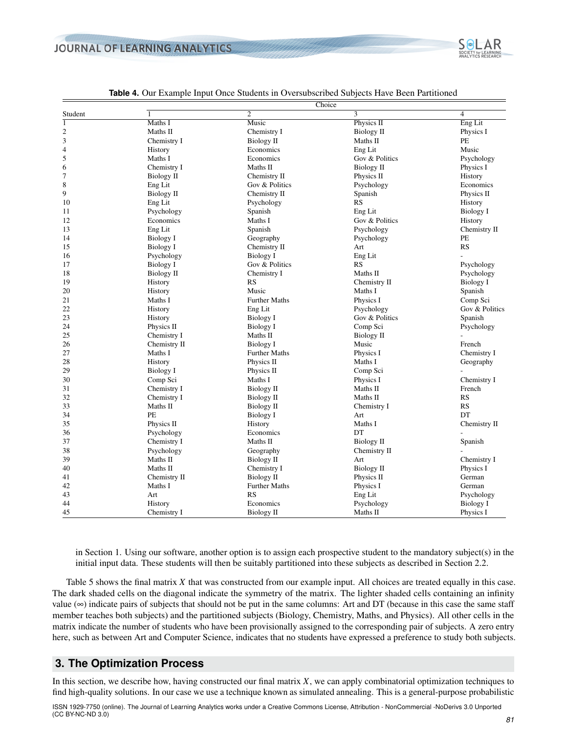<span id="page-6-1"></span>

#### **Table 4.** Our Example Input Once Students in Oversubscribed Subjects Have Been Partitioned

in Section [1.](#page-0-1) Using our software, another option is to assign each prospective student to the mandatory subject(s) in the initial input data. These students will then be suitably partitioned into these subjects as described in Section [2.2.](#page-4-2)

Table [5](#page-7-0) shows the final matrix *X* that was constructed from our example input. All choices are treated equally in this case. The dark shaded cells on the diagonal indicate the symmetry of the matrix. The lighter shaded cells containing an infinity value  $(\infty)$  indicate pairs of subjects that should not be put in the same columns: Art and DT (because in this case the same staff member teaches both subjects) and the partitioned subjects (Biology, Chemistry, Maths, and Physics). All other cells in the matrix indicate the number of students who have been provisionally assigned to the corresponding pair of subjects. A zero entry here, such as between Art and Computer Science, indicates that no students have expressed a preference to study both subjects.

## <span id="page-6-0"></span>**3. The Optimization Process**

In this section, we describe how, having constructed our final matrix *X*, we can apply combinatorial optimization techniques to find high-quality solutions. In our case we use a technique known as simulated annealing. This is a general-purpose probabilistic

ISSN 1929-7750 (online). The Journal of Learning Analytics works under a Creative Commons License, Attribution - NonCommercial -NoDerivs 3.0 Unported (CC BY-NC-ND 3.0)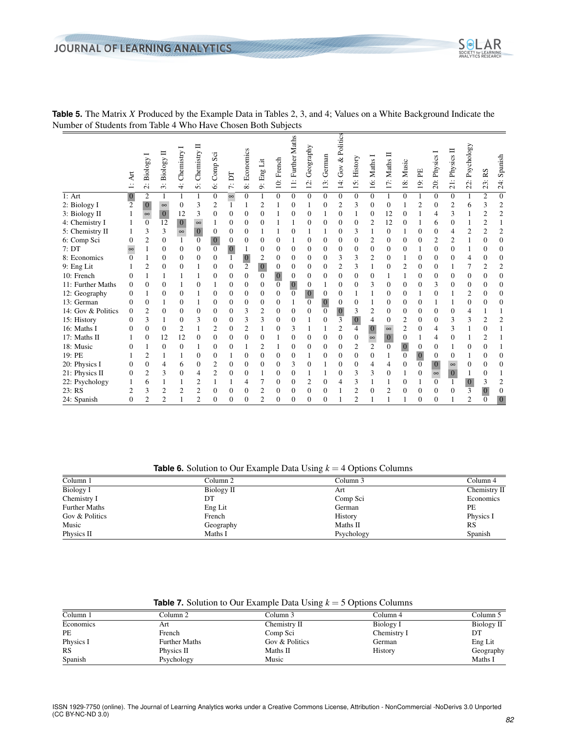

<span id="page-7-0"></span>**Table 5.** The Matrix *X* Produced by the Example Data in Tables [2,](#page-3-0) [3,](#page-3-1) and [4;](#page-6-1) Values on a White Background Indicate the Number of Students from Table [4](#page-6-1) Who Have Chosen Both Subjects

**Table 6.** Solution to Our Example Data Using  $k = 4$  Options Columns

<span id="page-7-1"></span>

|                      |            | -          |              |
|----------------------|------------|------------|--------------|
| Column 1             | Column 2   | Column 3   | Column 4     |
| Biology I            | Biology II | Art        | Chemistry II |
| Chemistry I          | DΤ         | Comp Sci   | Economics    |
| <b>Further Maths</b> | Eng Lit    | German     | PE           |
| Gov & Politics       | French     | History    | Physics I    |
| Music                | Geography  | Maths II   | <b>RS</b>    |
| Physics II           | Maths I    | Psychology | Spanish      |

|  |  | <b>Table 7.</b> Solution to Our Example Data Using $k = 5$ Options Columns |
|--|--|----------------------------------------------------------------------------|
|  |  |                                                                            |

<span id="page-7-2"></span>

| Column 1  | Column 2             | Column 3       | Column 4    | Column 5   |
|-----------|----------------------|----------------|-------------|------------|
| Economics | Art                  | Chemistry II   | Biology I   | Biology II |
| PE        | French               | Comp Sci       | Chemistry I | DT         |
| Physics I | <b>Further Maths</b> | Gov & Politics | German      | Eng Lit    |
| <b>RS</b> | Physics II           | Maths II       | History     | Geography  |
| Spanish   | Psychology           | Music          |             | Maths I    |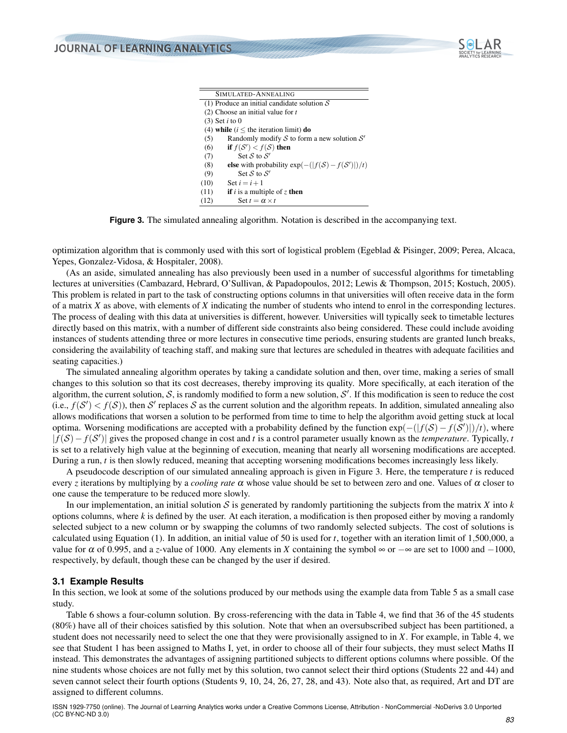

| SIMULATED-ANNEALING                                                          |
|------------------------------------------------------------------------------|
| (1) Produce an initial candidate solution $S$                                |
| $(2)$ Choose an initial value for t                                          |
| $(3)$ Set <i>i</i> to 0                                                      |
| (4) while $(i \leq$ the iteration limit) do                                  |
| Randomly modify S to form a new solution $S'$<br>(5)                         |
| if $f(S') < f(S)$ then<br>(6)                                                |
| Set S to $S'$<br>(7)                                                         |
| else with probability $\exp(-( f(\mathcal{S}) - f(\mathcal{S}') )/t)$<br>(8) |
| Set S to $S'$<br>(9)                                                         |
| (10)<br>Set $i = i + 1$                                                      |
| <b>if</b> i is a multiple of z <b>then</b><br>(11)                           |
| Set $t = \alpha \times t$<br>(12)                                            |
|                                                                              |

<span id="page-8-0"></span>**Figure 3.** The simulated annealing algorithm. Notation is described in the accompanying text.

optimization algorithm that is commonly used with this sort of logistical problem [\(Egeblad & Pisinger,](#page-12-13) [2009;](#page-12-13) [Perea, Alcaca,](#page-12-14) [Yepes, Gonzalez-Vidosa, & Hospitaler,](#page-12-14) [2008\)](#page-12-14).

(As an aside, simulated annealing has also previously been used in a number of successful algorithms for timetabling lectures at universities [\(Cambazard, Hebrard, O'Sullivan, & Papadopoulos,](#page-12-15) [2012;](#page-12-15) [Lewis & Thompson,](#page-12-16) [2015;](#page-12-16) [Kostuch,](#page-12-17) [2005\)](#page-12-17). This problem is related in part to the task of constructing options columns in that universities will often receive data in the form of a matrix *X* as above, with elements of *X* indicating the number of students who intend to enrol in the corresponding lectures. The process of dealing with this data at universities is different, however. Universities will typically seek to timetable lectures directly based on this matrix, with a number of different side constraints also being considered. These could include avoiding instances of students attending three or more lectures in consecutive time periods, ensuring students are granted lunch breaks, considering the availability of teaching staff, and making sure that lectures are scheduled in theatres with adequate facilities and seating capacities.)

The simulated annealing algorithm operates by taking a candidate solution and then, over time, making a series of small changes to this solution so that its cost decreases, thereby improving its quality. More specifically, at each iteration of the algorithm, the current solution, S, is randomly modified to form a new solution, S'. If this modification is seen to reduce the cost (i.e.,  $f(S') < f(S)$ ), then S' replaces S as the current solution and the algorithm repeats. In addition, simulated annealing also allows modifications that worsen a solution to be performed from time to time to help the algorithm avoid getting stuck at local optima. Worsening modifications are accepted with a probability defined by the function exp(-(|*f*(*S*)−*f*(*S'*)|)/*t*), where | *f*(S)− *f*(S 0 )| gives the proposed change in cost and *t* is a control parameter usually known as the *temperature*. Typically, *t* is set to a relatively high value at the beginning of execution, meaning that nearly all worsening modifications are accepted. During a run, *t* is then slowly reduced, meaning that accepting worsening modifications becomes increasingly less likely.

A pseudocode description of our simulated annealing approach is given in Figure [3.](#page-8-0) Here, the temperature *t* is reduced every *z* iterations by multiplying by a *cooling rate* α whose value should be set to between zero and one. Values of α closer to one cause the temperature to be reduced more slowly.

In our implementation, an initial solution  $S$  is generated by randomly partitioning the subjects from the matrix  $\overline{X}$  into  $\overline{k}$ options columns, where  $k$  is defined by the user. At each iteration, a modification is then proposed either by moving a randomly selected subject to a new column or by swapping the columns of two randomly selected subjects. The cost of solutions is calculated using Equation [\(1\)](#page-4-1). In addition, an initial value of 50 is used for *t*, together with an iteration limit of 1,500,000, a value for  $\alpha$  of 0.995, and a *z*-value of 1000. Any elements in *X* containing the symbol  $\infty$  or  $-\infty$  are set to 1000 and −1000, respectively, by default, though these can be changed by the user if desired.

#### **3.1 Example Results**

In this section, we look at some of the solutions produced by our methods using the example data from Table [5](#page-7-0) as a small case study.

Table [6](#page-7-1) shows a four-column solution. By cross-referencing with the data in Table [4,](#page-6-1) we find that 36 of the 45 students (80%) have all of their choices satisfied by this solution. Note that when an oversubscribed subject has been partitioned, a student does not necessarily need to select the one that they were provisionally assigned to in *X*. For example, in Table [4,](#page-6-1) we see that Student 1 has been assigned to Maths I, yet, in order to choose all of their four subjects, they must select Maths II instead. This demonstrates the advantages of assigning partitioned subjects to different options columns where possible. Of the nine students whose choices are not fully met by this solution, two cannot select their third options (Students 22 and 44) and seven cannot select their fourth options (Students 9, 10, 24, 26, 27, 28, and 43). Note also that, as required, Art and DT are assigned to different columns.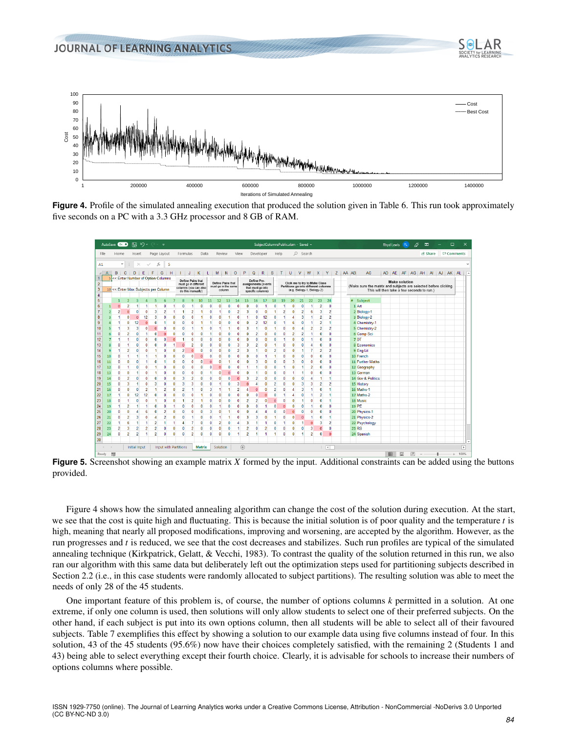<span id="page-9-1"></span>

Figure 4. Profile of the simulated annealing execution that produced the solution given in Table [6.](#page-7-1) This run took approximately five seconds on a PC with a 3.3 GHz processor and 8 GB of RAM.

|                         | AutoSave On O |                   |                            | 闊                                        | り・                | $\sim$            | $\overline{\mathbf{v}}$      |                   |                   |                                |                       |                      |                               |                              |                              |                               |                                | SubjectColumnsPublic.xlsm - Saved +    |                     |                             |                             |                |                   |                                                                     |                          |               |   |                                                                                                                | <b>Rhyd Lewis</b>    | <b>RL</b> | Ü | ⊞      |         | $\Box$ | $\times$                 |              |
|-------------------------|---------------|-------------------|----------------------------|------------------------------------------|-------------------|-------------------|------------------------------|-------------------|-------------------|--------------------------------|-----------------------|----------------------|-------------------------------|------------------------------|------------------------------|-------------------------------|--------------------------------|----------------------------------------|---------------------|-----------------------------|-----------------------------|----------------|-------------------|---------------------------------------------------------------------|--------------------------|---------------|---|----------------------------------------------------------------------------------------------------------------|----------------------|-----------|---|--------|---------|--------|--------------------------|--------------|
| File                    |               | Home              |                            | Insert                                   |                   |                   | Page Layout                  |                   | Formulas          |                                | Data                  |                      | Review                        |                              | View                         |                               |                                | Developer                              |                     | Help                        |                             | $O$ Search     |                   |                                                                     |                          |               |   |                                                                                                                |                      |           |   |        | R Share |        | <b>D</b> Comments        |              |
| A1                      |               |                   | $\;$<br>÷                  | $\times$                                 |                   | $\checkmark$ fx   |                              | 5                 |                   |                                |                       |                      |                               |                              |                              |                               |                                |                                        |                     |                             |                             |                |                   |                                                                     |                          |               |   |                                                                                                                |                      |           |   |        |         |        |                          | $\checkmark$ |
|                         |               |                   |                            |                                          |                   |                   |                              |                   |                   |                                |                       |                      |                               |                              |                              |                               |                                |                                        |                     |                             |                             |                |                   |                                                                     |                          |               |   |                                                                                                                |                      |           |   |        |         |        |                          |              |
|                         | A             | B.                | $\mathbf{c}$               | D<br>5 << Enter Number of Option Columns | IE.               | F                 | G                            | H                 | 1 <sub>1</sub>    |                                | $K$ $L$               |                      | <b>M</b>                      | $N$ 0                        |                              | P                             | Q                              | $\mathsf{R}$                           | s.                  | $\mathsf{T}$                | U                           | <b>V</b>       | W                 |                                                                     | $X$ $Y$                  | $Z$ $AA$ $AB$ |   | <b>AC</b>                                                                                                      | AD AE AF AG AH AI    |           |   |        |         |        | AJ AK AL A               |              |
| $\overline{2}$          |               |                   |                            |                                          |                   |                   |                              |                   |                   | Define Pairs that              | must go in different  |                      | Define Pairs that             |                              |                              |                               | Define Pre-                    | assignments (events                    |                     |                             |                             |                |                   | Clcik me to try to Make Class                                       |                          |               |   |                                                                                                                | <b>Make solution</b> |           |   |        |         |        |                          |              |
| $\overline{\mathbf{3}}$ |               |                   |                            | 10 << Enter Max Subjects per Column      |                   |                   |                              |                   |                   | do this manually)              | columns (you can also |                      | must go in the same<br>column |                              |                              |                               |                                | that must go into<br>specific columns) |                     |                             |                             |                |                   | Partitions go into different columns<br>(e.g. Biology-1, Biology-2) |                          |               |   | (Make sure the matrix and subjects are selected before clicking.<br>This will then take a few seconds to run.) |                      |           |   |        |         |        |                          |              |
| $\overline{4}$          |               |                   |                            |                                          |                   |                   |                              |                   |                   |                                |                       |                      |                               |                              |                              |                               |                                |                                        |                     |                             |                             |                |                   |                                                                     |                          |               |   |                                                                                                                |                      |           |   |        |         |        |                          |              |
| 5                       |               |                   |                            |                                          |                   | в                 | 6                            |                   |                   | ۹                              | 10                    | 11                   | 12                            | 13                           | 14                           | 15                            | 16                             | 17                                     | 18                  | 19                          | 20                          | 21             | 22                | 23                                                                  | 24                       |               | # | Subject                                                                                                        |                      |           |   |        |         |        |                          |              |
| 6                       |               |                   |                            |                                          |                   |                   |                              |                   |                   |                                |                       |                      |                               |                              |                              |                               |                                |                                        |                     |                             |                             |                |                   | $\overline{\mathbf{2}}$                                             | $\mathbf{0}$             |               |   | 1 Art                                                                                                          |                      |           |   |        |         |        |                          |              |
| $\overline{7}$          |               | 2                 | $\Omega$                   | $\mathbf{0}$                             | $\Omega$          | 3                 | $\overline{\mathbf{2}}$      |                   |                   | $\overline{\mathbf{2}}$        |                       | $\mathbf{0}$         | 4                             | 0                            | 2                            | 3                             | O                              | $\mathbf{0}$                           |                     | 2                           | $\mathbf{0}$                | $\overline{2}$ | 6                 | 3                                                                   | $\overline{2}$           |               |   | 2 Biology-1                                                                                                    |                      |           |   |        |         |        |                          |              |
| 8                       |               | 1                 | $\mathbf{0}$               | $\mathbf{0}$                             | 12                | 3                 | $\mathbf{0}$                 | $\Omega$          | n                 | $\mathbf{0}$                   | -1                    | $\mathbf{0}$         | $\mathbf{0}$                  |                              | $\mathbf{0}$                 | 1                             | 0                              | 12                                     | $\mathbf{0}$        |                             | 4                           | 3              | 1                 | $\overline{2}$                                                      | $\overline{2}$           |               |   | 3 Biology-2                                                                                                    |                      |           |   |        |         |        |                          |              |
| 9                       |               |                   | $\Omega$                   | 12                                       | $\mathbf{0}$      | 0                 | -1                           | $\Omega$          | 0                 | $\mathbf{0}$                   | 1                     | -1                   | n                             | n                            | $\mathbf{0}$                 | $\mathbf{0}$                  | $\overline{\mathbf{2}}$        | 12                                     | 0                   |                             | 6                           | $\mathbf{0}$   | 1                 | $\overline{2}$                                                      | -1                       |               |   | 4 Chemistry-1                                                                                                  |                      |           |   |        |         |        |                          |              |
| 10                      |               |                   | 3                          | 3                                        | O                 | n                 | 0                            | $\Omega$          | 0                 |                                |                       | 0                    |                               |                              | $\Omega$                     | 3                             |                                | $\mathbf{0}$                           | 1                   | $\mathbf 0$                 | 0                           | Δ              | $\overline{2}$    | $\overline{2}$                                                      | $\overline{2}$           |               |   | 5 Chemistry-2                                                                                                  |                      |           |   |        |         |        |                          |              |
| 11                      |               | Ω                 | 2                          | $\mathbf{0}$                             |                   | c                 | $\Omega$                     | $\Omega$          | Ω                 | $\mathbf{0}$                   | n                     |                      | n                             |                              | n                            | 0                             |                                | n                                      | 0                   | -0                          | $\overline{2}$              | $\overline{c}$ |                   | $\Omega$                                                            | $\mathbf{0}$             |               |   | 6 Comp Sci                                                                                                     |                      |           |   |        |         |        |                          |              |
| 12                      |               |                   |                            | $\mathbf{0}$                             | 0                 | $\mathbf{0}$      | 0                            | $\mathbf{0}$      | 1                 | $\mathbf{0}$                   | $\mathbf{0}$          | $\mathbf{0}$         | 0                             | $\mathbf{0}$                 | $\mathbf{0}$                 | 0                             | 0                              | $\mathbf{0}$                           | 0                   |                             | $\mathbf{0}$                | 0              | 1                 | $\mathbf{0}$                                                        | $\mathbf{0}$             |               |   | 7DT                                                                                                            |                      |           |   |        |         |        |                          |              |
| 13                      | я             | Ω                 | и                          | $\mathbf{0}$                             | 0                 | $\mathbf{0}$      | $\mathbf{0}$                 |                   | $\bf{0}$          | $\overline{2}$                 | $\mathbf{0}$          | $\mathbf{0}$         | $\mathbf{0}$                  | $\mathbf{0}$                 | 3                            | 3                             | $\overline{a}$                 | $\mathbf{0}$                           | 1                   | $\mathbf{0}$                | $\mathbf{0}$                | 0              | Δ                 | $\mathbf{0}$                                                        | $\mathbf{0}$             |               |   | 8 Economics                                                                                                    |                      |           |   |        |         |        |                          |              |
| 14                      | q             |                   | $\overline{2}$             | $\mathbf{0}$                             | 0                 | 1                 | $\mathbf{0}$                 | $\mathbf{0}$      | 2                 | $\Omega$                       | $\mathbf{0}$          | $\mathbf{0}$         | 0                             | $\mathbf{0}$                 | 2                            | 3                             |                                | $\mathbf{0}$                           | $\overline{2}$      | $\mathbf{0}$                | $\mathbf{0}$                |                | 7                 | $\overline{2}$                                                      | $\overline{2}$           |               |   | 9 Eng Lit                                                                                                      |                      |           |   |        |         |        |                          |              |
| 15                      | 10            | 0                 |                            |                                          |                   |                   | $\Omega$                     | $\Omega$          | 0                 | $\mathbf{0}$                   | $\Omega$              | $\mathbf{0}$         | 0                             | $\Omega$                     | $\mathbf{0}$                 | $\mathbf{0}$                  | n                              |                                        | 1                   | $\mathbf{0}$                | $\mathbf{0}$                | 0              | $\mathbf{0}$      | $\theta$                                                            | $\theta$                 |               |   | 10 French                                                                                                      |                      |           |   |        |         |        |                          |              |
| 16                      | 11            | 0                 | $\theta$                   |                                          |                   | c                 |                              | $\mathbf{0}$      | 0                 | $\mathbf{0}$                   |                       | $\Omega$             | 0                             |                              | $\mathbf{0}$                 | $\mathbf{0}$                  | 3                              | 0                                      | 0                   | $\mathbf{0}$                | 3                           | 0              | $\mathbf{0}$      | $\theta$                                                            | $\mathbf{0}$             |               |   | 11 Further Maths                                                                                               |                      |           |   |        |         |        |                          |              |
| 17                      | 12            | 0                 |                            | $\mathbf{0}$                             | $\theta$          |                   | $\mathbf{0}$                 | $\theta$          | 0                 | $\mathbf{0}$                   | 0                     | $\theta$             | $\Omega$                      | $\Omega$                     | $\mathbf{0}$                 | 1                             |                                | $\mathbf{0}$                           | 0                   |                             | $\mathbf{0}$                |                | 2                 | $\mathbf{0}$                                                        | $\mathbf{0}$             |               |   | 12 Geography                                                                                                   |                      |           |   |        |         |        |                          |              |
| 18                      | 13            | $\mathbf 0$       | $\mathbf{0}$               | 1                                        | $\mathbf 0$       | 1                 | $\mathbf 0$                  | $\mathbf{0}$      | $\mathbf 0$       | $\mathbf 0$                    | $\mathbf{0}$          | -1                   | 0                             | $\Omega$                     | $\mathbf 0$                  | $\mathbf{0}$                  | и                              | $\mathbf{0}$                           | $\mathbf{0}$        | $\theta$                    | 1                           | 1              | $\mathbf 0$       | $\mathbf{0}$                                                        | $\mathbf{0}$             |               |   | 13 German                                                                                                      |                      |           |   |        |         |        |                          |              |
| 19                      | 14            | $\mathbf{0}$      | $\overline{2}$             | $\mathbf{0}$                             | $\mathbf{0}$      | $\mathbf{0}$      | $\mathbf{0}$                 | $\mathbf{0}$      | 3                 | $\overline{2}$                 | $\mathbf{0}$          | $\mathbf{0}$         | $\mathbf{0}$                  | $\Omega$                     | $\overline{0}$               | 3                             | $\overline{\phantom{a}}$       | $\bullet$                              | $\mathbf{0}$        | $\mathbf{0}$                | $\mathbf 0$                 | $\mathbf{0}$   | 4                 | -1                                                                  | 1                        |               |   | 14 Gov & Politics                                                                                              |                      |           |   |        |         |        |                          |              |
| 20                      | 15            | $\mathbf{0}$      | 3                          | 1                                        | $\mathbf{0}$      | 3                 | $\mathbf{0}$                 | $\mathbf{0}$      | 3                 | 3                              | $\mathbf{0}$          | $\mathbf{0}$         | 1                             | $\mathbf{0}$                 | 3                            | $\mathbf{0}$                  | 4                              | $\mathbf{0}$                           | $\overline{2}$      | $\mathbf{0}$                | $\mathbf 0$                 | 3              | 3                 | $\overline{2}$                                                      | $\overline{2}$           |               |   | 15 History                                                                                                     |                      |           |   |        |         |        |                          |              |
| 21                      | 16            | $\mathbf{0}$      | $\theta$                   | $\mathbf{0}$                             | $\overline{a}$    | 1                 | $\overline{2}$               | $\theta$          | $\overline{2}$    |                                | $\mathbf{0}$          | 3                    | 1                             |                              | 2                            | Δ                             | $\Omega$                       | $\mathbf{0}$                           | $\overline{2}$      | $\mathbf{0}$                | 4                           | 3              | 1                 | $\Omega$                                                            | $\overline{1}$           |               |   | 16 Maths-1                                                                                                     |                      |           |   |        |         |        |                          |              |
| 22                      | 17            | 1                 | $\mathbf 0$<br>1           | 12<br>$\mathbf{0}$                       | 12                | $\mathbf{0}$<br>1 | $\mathbf{0}$                 | $\theta$          | $\mathbf{0}$<br>1 | $\mathbf{0}$<br>$\overline{2}$ | -1<br>$\overline{1}$  | $\theta$<br>$\theta$ | $\mathbf{0}$                  | $\mathbf{0}$                 | $\mathbf{0}$                 | $\mathbf 0$<br>$\overline{2}$ | $\mathbf 0$                    | $\mathbf{0}$<br>$\mathbf{0}$           | $\mathbf{0}$        | $\theta$                    | 4                           | $\mathbf{0}$   | 1<br>$\mathbf{0}$ | $\overline{2}$<br>$\theta$                                          | -1<br>1                  |               |   | 17 Maths-2<br>18 Music                                                                                         |                      |           |   |        |         |        |                          |              |
| 23<br>24                | 18            | $\mathbf{0}$<br>1 |                            | 1                                        | $\mathbf{0}$<br>1 | $\mathbf{0}$      | $\mathbf{0}$<br>$\mathbf{0}$ | $\mathbf{0}$<br>1 | 0                 | $\mathbf{0}$                   | $\mathbf{0}$          | $\mathbf{0}$         | $\mathbf{0}$<br>1             | $\mathbf{0}$<br>$\mathbf{0}$ | $\mathbf{0}$<br>$\mathbf{0}$ | $\mathbf 0$                   | $\overline{2}$<br>$\mathbf{0}$ | 1                                      | $\overline{0}$<br>0 |                             | $\mathbf{0}$<br>$\mathbf 0$ | $\mathbf{0}$   | 1                 | $\Omega$                                                            | $\mathbf{0}$             |               |   | 19 PE                                                                                                          |                      |           |   |        |         |        |                          |              |
| 25                      | 19<br>20      | $\mathbf{0}$      | $\overline{2}$<br>$\theta$ | 4                                        | 6                 | $\mathbf{0}$      | $\overline{2}$               | $\mathbf{0}$      | 0                 | $\mathbf{0}$                   | $\mathbf{0}$          | 3                    | $\bullet$                     | 1                            | $\mathbf{0}$                 | $\mathbf 0$                   | Δ                              | 4                                      | $\mathbf{0}$        | $\mathbf 0$<br>$\mathbf{0}$ | $\mathbf{0}$                | 0              | $\mathbf 0$       | $\Omega$                                                            | $\mathbf{0}$             |               |   | 20 Physics-1                                                                                                   |                      |           |   |        |         |        |                          |              |
| 26                      | 21            | $\mathbf{0}$      | $\overline{2}$             | 3                                        | $\mathbf{0}$      | Δ                 | $\overline{2}$               | $\theta$          | 0                 |                                | $\mathbf{0}$          | $\mathbf{0}$         | 1                             |                              | $\Omega$                     | 3                             | 3                              | $\mathbf{0}$                           | ٠                   | $\mathbf{0}$                | $\mathbf{0}$                | $\Omega$       |                   | $\theta$                                                            |                          |               |   | 21 Physics-2                                                                                                   |                      |           |   |        |         |        |                          |              |
| 27                      | 22            | 1                 | 6                          |                                          |                   | $\overline{2}$    |                              |                   | 4                 | 7                              | $\mathbf 0$           | $\mathbf{0}$         | $\overline{2}$                | $\mathbf{0}$                 |                              | 3                             |                                | 1                                      | $\mathbf{0}$        |                             | $\mathbf{0}$                |                | $\Omega$          | 3                                                                   | $\overline{2}$           |               |   | 22 Psychology                                                                                                  |                      |           |   |        |         |        |                          |              |
| 28                      | 23            | $\overline{2}$    | 3                          | $\overline{2}$                           | $\overline{2}$    | $\overline{2}$    | $\mathbf{0}$                 | $\mathbf{0}$      | 0                 | $\overline{2}$                 | $\mathbf{0}$          | $\mathbf{0}$         | 0                             | $\mathbf{0}$                 |                              | $\overline{2}$                | n                              | 2                                      | 0                   | $\mathbf{0}$                | $\mathbf{0}$                | $\mathbf{0}$   | з                 | $\Omega$                                                            | $\mathbf{0}$             |               |   | 23 RS                                                                                                          |                      |           |   |        |         |        |                          |              |
| 29                      | 24            | $\mathbf{0}$      | $\overline{2}$             | $\overline{2}$                           |                   | $\overline{2}$    | $\mathbf{0}$                 | $\mathbf{0}$      | $\mathbf{0}$      | $\overline{2}$                 | $\mathbf{0}$          | $\mathbf{0}$         | $\bullet$                     | $\mathbf{0}$                 | -1                           | $\overline{2}$                | 1                              | 1                                      | 1                   | $\mathbf{0}$                | $\mathbf 0$                 |                | $\overline{2}$    | $\theta$                                                            | $\Omega$                 |               |   | 24 Spanish                                                                                                     |                      |           |   |        |         |        |                          |              |
| 30                      |               |                   |                            |                                          |                   |                   |                              |                   |                   |                                |                       |                      |                               |                              |                              |                               |                                |                                        |                     |                             |                             |                |                   |                                                                     |                          |               |   |                                                                                                                |                      |           |   |        |         |        |                          |              |
|                         |               |                   |                            |                                          |                   |                   |                              |                   |                   |                                |                       |                      |                               |                              |                              |                               |                                |                                        |                     |                             |                             |                |                   |                                                                     |                          |               |   |                                                                                                                |                      |           |   |        |         |        |                          | ⋤            |
|                         |               |                   |                            | Initial Input                            |                   |                   | <b>Input with Partitions</b> |                   |                   |                                | <b>Matrix</b>         |                      | Solution                      |                              |                              | $^{\circledR}$                |                                |                                        |                     |                             |                             |                |                   |                                                                     | $\mathbb{E}[\mathbf{X}]$ |               |   |                                                                                                                |                      |           |   |        |         |        | $\overline{\phantom{1}}$ |              |
| Ready                   |               | $\overline{50}$   |                            |                                          |                   |                   |                              |                   |                   |                                |                       |                      |                               |                              |                              |                               |                                |                                        |                     |                             |                             |                |                   |                                                                     |                          |               |   |                                                                                                                | 囲                    | 间         | 凹 | $\sim$ |         |        | 100%                     |              |

**Figure 5.** Screenshot showing an example matrix *X* formed by the input. Additional constraints can be added using the buttons provided.

Figure [4](#page-9-1) shows how the simulated annealing algorithm can change the cost of the solution during execution. At the start, we see that the cost is quite high and fluctuating. This is because the initial solution is of poor quality and the temperature *t* is high, meaning that nearly all proposed modifications, improving and worsening, are accepted by the algorithm. However, as the run progresses and *t* is reduced, we see that the cost decreases and stabilizes. Such run profiles are typical of the simulated annealing technique [\(Kirkpatrick, Gelatt, & Vecchi,](#page-12-18) [1983\)](#page-12-18). To contrast the quality of the solution returned in this run, we also ran our algorithm with this same data but deliberately left out the optimization steps used for partitioning subjects described in Section [2.2](#page-4-2) (i.e., in this case students were randomly allocated to subject partitions). The resulting solution was able to meet the needs of only 28 of the 45 students.

<span id="page-9-0"></span>One important feature of this problem is, of course, the number of options columns *k* permitted in a solution. At one extreme, if only one column is used, then solutions will only allow students to select one of their preferred subjects. On the other hand, if each subject is put into its own options column, then all students will be able to select all of their favoured subjects. Table [7](#page-7-2) exemplifies this effect by showing a solution to our example data using five columns instead of four. In this solution, 43 of the 45 students (95.6%) now have their choices completely satisfied, with the remaining 2 (Students 1 and 43) being able to select everything except their fourth choice. Clearly, it is advisable for schools to increase their numbers of options columns where possible.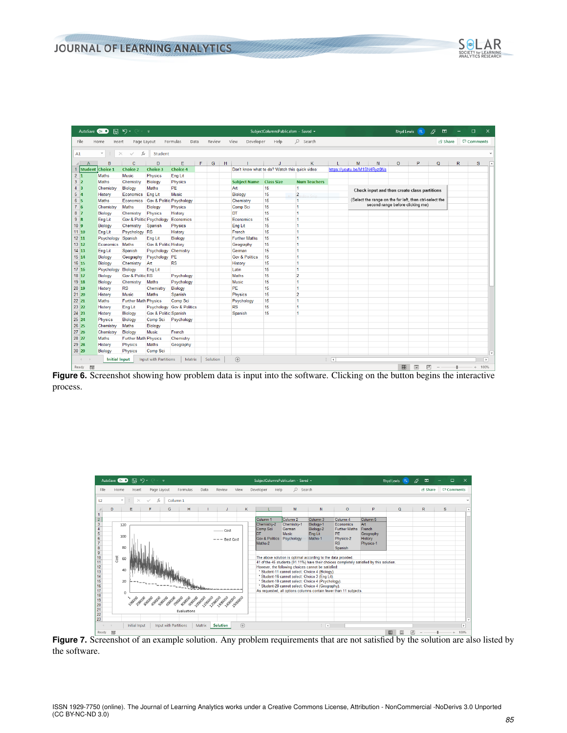

<span id="page-10-0"></span>

| AutoSave Cn O   | 團                             | り・                             | ≂                                |                           |      |          |   |                                                | SubjectColumnsPublic.xlsm - Saved v |                     |               |   |                                                         |         | Rhyd Lewis RL                               | ∅        | 囨              |              | □                 | $\times$          |
|-----------------|-------------------------------|--------------------------------|----------------------------------|---------------------------|------|----------|---|------------------------------------------------|-------------------------------------|---------------------|---------------|---|---------------------------------------------------------|---------|---------------------------------------------|----------|----------------|--------------|-------------------|-------------------|
| File            | Home<br>Insert                | Page Layout                    |                                  | Formulas                  | Data | Review   |   | View<br>Developer                              | Help                                | $O$ Search          |               |   |                                                         |         |                                             |          | <b>B</b> Share |              | <b>□</b> Comments |                   |
| A1              | $\overline{\phantom{a}}$<br>÷ | fx<br>$\times$<br>$\checkmark$ | <b>Student</b>                   |                           |      |          |   |                                                |                                     |                     |               |   |                                                         |         |                                             |          |                |              |                   |                   |
| $\overline{A}$  | B                             | $\mathbf{C}$                   | D                                | Е                         | F.   | G        | H |                                                | J                                   | K                   | L             | M | N                                                       | $\circ$ | P                                           | $\Omega$ |                | $\mathsf{R}$ |                   | $\mathbf{s}$<br>× |
| 1               | <b>Student Choice 1</b>       | Choice 2                       | Choice 3                         | <b>Choice 4</b>           |      |          |   | Don't know what to do? Watch this quick video: |                                     |                     |               |   | https://youtu.be/M1SN4Ryz0Ns                            |         |                                             |          |                |              |                   |                   |
| 2 1             | Maths                         | <b>Music</b>                   | Physics                          | Eng Lit                   |      |          |   |                                                |                                     |                     |               |   |                                                         |         |                                             |          |                |              |                   |                   |
| 3 2             | <b>Maths</b>                  | Chemistry                      | Biology                          | Physics                   |      |          |   | <b>Subject Name Class Size</b>                 |                                     | <b>Num Teachers</b> |               |   |                                                         |         |                                             |          |                |              |                   |                   |
| 4 3             | Chemistry                     | Biology                        | <b>Maths</b>                     | <b>PE</b>                 |      |          |   | Art                                            | 15                                  | 1                   |               |   | Check input and then create class partitions            |         |                                             |          |                |              |                   |                   |
| 5 4             | History                       | Economics                      | Eng Lit                          | <b>Music</b>              |      |          |   | <b>Biology</b>                                 | 15                                  | $\overline{2}$      |               |   |                                                         |         |                                             |          |                |              |                   |                   |
| $6 \vert 5$     | <b>Maths</b>                  | Economics                      |                                  | Gov & Politic Psychology  |      |          |   | Chemistry                                      | 15                                  | 1                   |               |   | (Select the range on the far left, then ctrl-select the |         |                                             |          |                |              |                   |                   |
| 7 6             | Chemistry                     | <b>Maths</b>                   | Biology                          | Physics                   |      |          |   | <b>Comp Sci</b>                                | 15                                  | и                   |               |   | second range before clicking me)                        |         |                                             |          |                |              |                   |                   |
| $8 \vert 7$     | Biology                       | Chemistry                      | Physics                          | History                   |      |          |   | DT                                             | 15                                  | и                   |               |   |                                                         |         |                                             |          |                |              |                   |                   |
| $9 \vert 8$     | Eng Lit                       |                                | Gov & Politic Psychology         | Economics                 |      |          |   | Economics                                      | 15                                  | 1                   |               |   |                                                         |         |                                             |          |                |              |                   |                   |
| 10 <sub>9</sub> | Biology                       | Chemistry                      | Spanish                          | Physics                   |      |          |   | <b>Eng Lit</b>                                 | 15                                  | 1                   |               |   |                                                         |         |                                             |          |                |              |                   |                   |
| 11 10           | Eng Lit                       | Psychology                     | <b>RS</b>                        | History                   |      |          |   | French                                         | 15                                  | 1                   |               |   |                                                         |         |                                             |          |                |              |                   |                   |
| $12$ 11         | Psychology                    | Spanish                        | Eng Lit                          | <b>Biology</b>            |      |          |   | <b>Further Maths</b>                           | 15                                  | 1                   |               |   |                                                         |         |                                             |          |                |              |                   |                   |
| 13 12           | Economics                     | Maths                          | <b>Gov &amp; Politic History</b> |                           |      |          |   | Geography                                      | 15                                  | 1                   |               |   |                                                         |         |                                             |          |                |              |                   |                   |
| $14$ 13         | Eng Lit                       | Spanish                        | Psychology Chemistry             |                           |      |          |   | German                                         | 15                                  | 1                   |               |   |                                                         |         |                                             |          |                |              |                   |                   |
| 15 14           | <b>Biology</b>                | Geography                      | Psychology PE                    |                           |      |          |   | <b>Gov &amp; Politics</b>                      | 15                                  | 1                   |               |   |                                                         |         |                                             |          |                |              |                   |                   |
| 16 15           | <b>Biology</b>                | Chemistry                      | Art                              | <b>RS</b>                 |      |          |   | History                                        | 15                                  | 1                   |               |   |                                                         |         |                                             |          |                |              |                   |                   |
| 17 16           | Psychology                    | Biology                        | Eng Lit                          |                           |      |          |   | Latin                                          | 15                                  | и                   |               |   |                                                         |         |                                             |          |                |              |                   |                   |
| 18 17           | <b>Biology</b>                | <b>Gov &amp; Politic RS</b>    |                                  | Psychology                |      |          |   | <b>Maths</b>                                   | 15                                  | $\overline{2}$      |               |   |                                                         |         |                                             |          |                |              |                   |                   |
| $19$ 18         | <b>Biology</b>                | Chemistry                      | Maths                            | Psychology                |      |          |   | <b>Music</b>                                   | 15                                  | 1                   |               |   |                                                         |         |                                             |          |                |              |                   |                   |
| 20 19           | History                       | <b>RS</b>                      | Chemistry                        | <b>Biology</b>            |      |          |   | PE                                             | 15                                  | 1                   |               |   |                                                         |         |                                             |          |                |              |                   |                   |
| $21$ 20         | History                       | <b>Music</b>                   | <b>Maths</b>                     | Spanish                   |      |          |   | Physics                                        | 15                                  | $\overline{2}$      |               |   |                                                         |         |                                             |          |                |              |                   |                   |
| $22$ $21$       | <b>Maths</b>                  | <b>Further Math Physics</b>    |                                  | <b>Comp Sci</b>           |      |          |   | Psychology                                     | 15                                  | 1                   |               |   |                                                         |         |                                             |          |                |              |                   |                   |
| 23 22           | <b>History</b>                | Eng Lit                        |                                  | Psychology Gov & Politics |      |          |   | <b>RS</b>                                      | 15                                  | 1                   |               |   |                                                         |         |                                             |          |                |              |                   |                   |
| 24 23           | History                       | <b>Biology</b>                 | Gov & Politic Spanish            |                           |      |          |   | Spanish                                        | 15                                  | 1                   |               |   |                                                         |         |                                             |          |                |              |                   |                   |
| 25 24           | Physics                       | <b>Biology</b>                 | Comp Sci                         | Psychology                |      |          |   |                                                |                                     |                     |               |   |                                                         |         |                                             |          |                |              |                   |                   |
| 26 25           | Chemistry                     | <b>Maths</b>                   | Biology                          |                           |      |          |   |                                                |                                     |                     |               |   |                                                         |         |                                             |          |                |              |                   |                   |
| $27 \,   \, 26$ | Chemistry                     | <b>Biology</b>                 | <b>Music</b>                     | French                    |      |          |   |                                                |                                     |                     |               |   |                                                         |         |                                             |          |                |              |                   |                   |
| 28 27           | <b>Maths</b>                  | <b>Further Math Physics</b>    |                                  | Chemistry                 |      |          |   |                                                |                                     |                     |               |   |                                                         |         |                                             |          |                |              |                   |                   |
| 29 28           | History                       | Physics                        | Maths                            | Geography                 |      |          |   |                                                |                                     |                     |               |   |                                                         |         |                                             |          |                |              |                   |                   |
| 30 29           | Biology                       | Physics                        | Comp Sci                         |                           |      |          |   |                                                |                                     |                     |               |   |                                                         |         |                                             |          |                |              |                   | ٠                 |
|                 |                               |                                |                                  |                           |      |          |   |                                                |                                     |                     | ÷             |   |                                                         |         |                                             |          |                |              |                   |                   |
| $\sim$          | <b>Initial Input</b>          |                                | Input with Partitions            | Matrix                    |      | Solution |   | $^{\circledR}$                                 |                                     |                     | $\vert \vert$ |   |                                                         |         |                                             |          |                |              |                   | $\,$              |
| E®<br>Ready     |                               |                                |                                  |                           |      |          |   |                                                |                                     |                     |               |   |                                                         | 囲       | $\qquad \qquad \text{ } \qquad \qquad \Box$ | 凹        |                |              | ÷                 | 100%              |

**Figure 6.** Screenshot showing how problem data is input into the software. Clicking on the button begins the interactive process.

<span id="page-10-1"></span>

**Figure 7.** Screenshot of an example solution. Any problem requirements that are not satisfied by the solution are also listed by the software.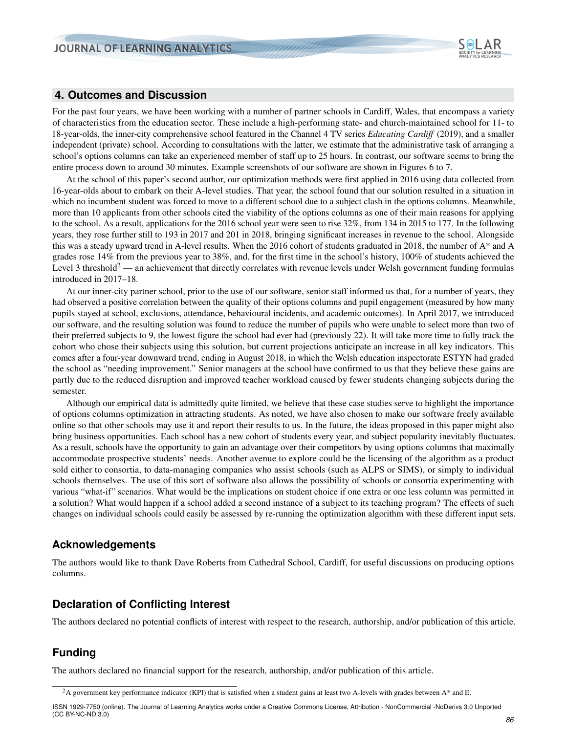

## **4. Outcomes and Discussion**

For the past four years, we have been working with a number of partner schools in Cardiff, Wales, that encompass a variety of characteristics from the education sector. These include a high-performing state- and church-maintained school for 11- to 18-year-olds, the inner-city comprehensive school featured in the Channel 4 TV series *[Educating Cardiff](#page-12-19)* [\(2019\)](#page-12-19), and a smaller independent (private) school. According to consultations with the latter, we estimate that the administrative task of arranging a school's options columns can take an experienced member of staff up to 25 hours. In contrast, our software seems to bring the entire process down to around 30 minutes. Example screenshots of our software are shown in Figures [6](#page-10-0) to [7.](#page-10-1)

At the school of this paper's second author, our optimization methods were first applied in 2016 using data collected from 16-year-olds about to embark on their A-level studies. That year, the school found that our solution resulted in a situation in which no incumbent student was forced to move to a different school due to a subject clash in the options columns. Meanwhile, more than 10 applicants from other schools cited the viability of the options columns as one of their main reasons for applying to the school. As a result, applications for the 2016 school year were seen to rise 32%, from 134 in 2015 to 177. In the following years, they rose further still to 193 in 2017 and 201 in 2018, bringing significant increases in revenue to the school. Alongside this was a steady upward trend in A-level results. When the 2016 cohort of students graduated in 2018, the number of A\* and A grades rose 14% from the previous year to 38%, and, for the first time in the school's history, 100% of students achieved the Level 3 threshold<sup>[2](#page-0-0)</sup> — an achievement that directly correlates with revenue levels under Welsh government funding formulas introduced in 2017–18.

At our inner-city partner school, prior to the use of our software, senior staff informed us that, for a number of years, they had observed a positive correlation between the quality of their options columns and pupil engagement (measured by how many pupils stayed at school, exclusions, attendance, behavioural incidents, and academic outcomes). In April 2017, we introduced our software, and the resulting solution was found to reduce the number of pupils who were unable to select more than two of their preferred subjects to 9, the lowest figure the school had ever had (previously 22). It will take more time to fully track the cohort who chose their subjects using this solution, but current projections anticipate an increase in all key indicators. This comes after a four-year downward trend, ending in August 2018, in which the Welsh education inspectorate ESTYN had graded the school as "needing improvement." Senior managers at the school have confirmed to us that they believe these gains are partly due to the reduced disruption and improved teacher workload caused by fewer students changing subjects during the semester.

Although our empirical data is admittedly quite limited, we believe that these case studies serve to highlight the importance of options columns optimization in attracting students. As noted, we have also chosen to make our software freely available online so that other schools may use it and report their results to us. In the future, the ideas proposed in this paper might also bring business opportunities. Each school has a new cohort of students every year, and subject popularity inevitably fluctuates. As a result, schools have the opportunity to gain an advantage over their competitors by using options columns that maximally accommodate prospective students' needs. Another avenue to explore could be the licensing of the algorithm as a product sold either to consortia, to data-managing companies who assist schools (such as ALPS or SIMS), or simply to individual schools themselves. The use of this sort of software also allows the possibility of schools or consortia experimenting with various "what-if" scenarios. What would be the implications on student choice if one extra or one less column was permitted in a solution? What would happen if a school added a second instance of a subject to its teaching program? The effects of such changes on individual schools could easily be assessed by re-running the optimization algorithm with these different input sets.

## **Acknowledgements**

The authors would like to thank Dave Roberts from Cathedral School, Cardiff, for useful discussions on producing options columns.

# **Declaration of Conflicting Interest**

The authors declared no potential conflicts of interest with respect to the research, authorship, and/or publication of this article.

# **Funding**

The authors declared no financial support for the research, authorship, and/or publication of this article.

<sup>&</sup>lt;sup>2</sup>A government key performance indicator (KPI) that is satisfied when a student gains at least two A-levels with grades between  $A^*$  and E.

ISSN 1929-7750 (online). The Journal of Learning Analytics works under a Creative Commons License, Attribution - NonCommercial -NoDerivs 3.0 Unported (CC BY-NC-ND 3.0)